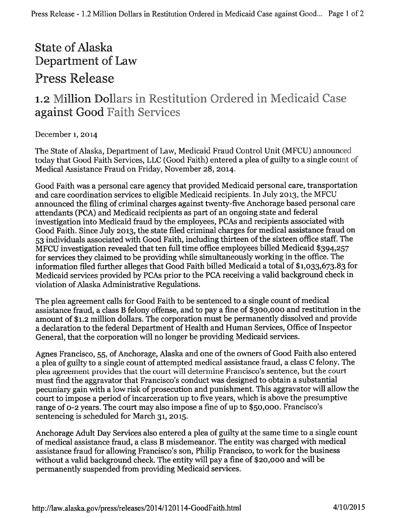## State of Alaska Department of Law Press Release

## 1.2 Million Dollars in Restitution Ordered in Medicaid Case against Good Faith Services

## l)ecember 1, <sup>2014</sup>

The State of Alaska, Department of Law, Medicaid Fraud Control Unit (MFCU) announced today that Good Faith Services, LLC (Good Faith) entered <sup>a</sup> <sup>p</sup>lea of guilty to <sup>a</sup> single count of Medical Assistance Fraud on Friday, November 28, 2014.

Good Faith was <sup>a</sup> persona<sup>l</sup> care agency that provided Medicaid persona<sup>l</sup> care, transportation and care coordination services to eligible Medicaid recipients. In July 2013, the MFCU announced the filing of criminal charges against twenty-five Anchorage based personal care attendants (PCA) and Medicaid recipients as par<sup>t</sup> of an ongoing state and federal investigation into Medicaid fraud by the employees, PCAs and recipients associated with Good Faith. Since July 2013, the state filed criminal charges for medical assistance fraud on 53 individuals associated with Good Faith, including thirteen of the sixteen office staff. The MFCU investigation revealed that ten full time office employees billed Medicaid \$394,257 for services they claimed to be providing while simultaneously working in the office. The information filed further alleges that Good Faith billed Medicaid <sup>a</sup> total of \$1,033,673.83 for Medicaid services provided by PCAs prior to the PCA receiving <sup>a</sup> valid background check in violation of Alaska Administrative Regulations.

The <sup>p</sup>lea agreemen<sup>t</sup> calls for Good Faith to be sentenced to <sup>a</sup> single count of medical assistance fraud, <sup>a</sup> class <sup>B</sup> felony offense, and to pay <sup>a</sup> fine of \$300,000 and restitution in the amount of \$1.2 million dollars. The corporation must be permanently dissolved and provide <sup>a</sup> declaration to the federal Department of Health and Human Services, Office of Inspector General, that the corporation will no longer be providing Medicaid services.

Agnes Francisco, 55, of Anchorage, Alaska and one of the owners of Good Faith also entered <sup>a</sup> <sup>p</sup>lea of guilty to <sup>a</sup> single count of attempted medical assistance fraud, <sup>a</sup> class <sup>C</sup> felony. The <sup>p</sup>lea agreemen<sup>t</sup> provides that the court will determine Francisco's sentence, hut the Court must find the aggravator that Francisco's conduct was designed to obtain <sup>a</sup> substantial pecuniary gain with <sup>a</sup> low risk of prosecution and punishment. This aggravator will allow the court to impose a period of incarceration up to five years, which is above the presumptive range of 0-2 years. The court may also impose <sup>a</sup> fine of up to \$50,000. Francisco's sentencing is scheduled for March 31, 2015.

Anchorage Adult Day Services also entered <sup>a</sup> <sup>p</sup>lea of guilty at the same time to <sup>a</sup> single count of medical assistance fraud, <sup>a</sup> class <sup>B</sup> misdemeanor. The entity was charged with medical assistance fraud for allowing Francisco's son, Philip Francisco, to work for the business without <sup>a</sup> valid background check. The entity will pay <sup>a</sup> fine of \$20,000 and will be permanently suspended from providing Medicaid services.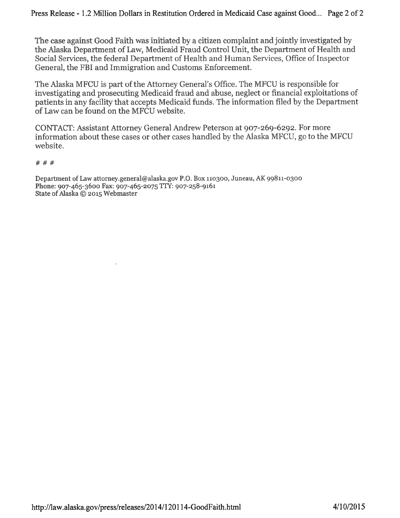The case against Good Faith was initiated by <sup>a</sup> citizen complaint and jointly investigated by the AJaska Department of Law, Medicaid Fraud Control Unit, the Department of Health and Social Services, the federal Department of Health and Human Services, Office of Inspector General, the FBI and Immigration and Customs Enforcement.

The Alaska MFCU is part of the Attorney General's Office. The MFCU is responsible for investigating and prosecuting Medicaid fraud and abuse, neglect or financial exploitations of patients in any facility that accepts Medicaid funds. The information filed by the Department of Law can be found on the MFCU website,

CONTACT: Assistant Attorney General Andrew Peterson at 907-269-6292. For more information about these cases or other cases handled by the Alaska MFCU, go to the MFCU website.

###

Department of Law attorney.general@alaska.gov P.O. Box 110300, Juneau, AK 99811-0300 Phone: 907-465-3600 Fax: 907-465-2075 TFY: 907-258-9161 State of Alaska © 2015 Webmaster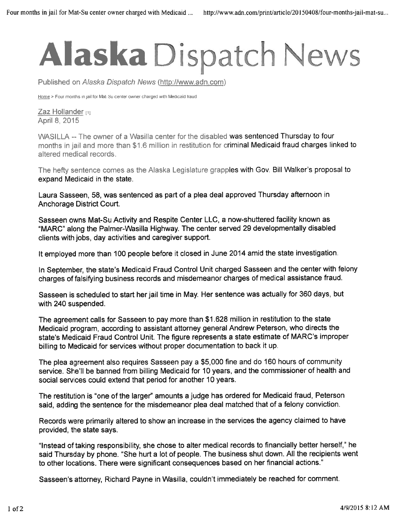## Alaska Dispatch News

Published on Alaska Dispatch News (http://www.adn.com)

Home > Four months in jail for Mat-Su center owner charged with Medicaid fraud

Zaz Hollander [1] April 8, 2015

WASILLA --The owner of <sup>a</sup> Wasilla center for the disabled was sentenced Thursday to four months in jail and more than \$1.6 million in restitution for criminal Medicaid fraud charges linked to altered medical records.

The hefty sentence comes as the Alaska Legislature grapples with Gov. Bill Walker's proposa<sup>l</sup> to expand Medicaid in the state.

Laura Sasseen, 58, was sentenced as par<sup>t</sup> of <sup>a</sup> <sup>p</sup>lea deal approved Thursday afternoon in Anchorage District Court.

Sasseen owns Mat-Su Activity and Respite Center LLC, <sup>a</sup> now-shuttered facility known as "MARC" along the Palmer-Wasilla Highway. The center served <sup>29</sup> developmentally disabled clients with jobs, day activities and caregiver support.

It employed more than <sup>100</sup> people before it closed in June <sup>2014</sup> amid the state investigation.

In September, the state's Medicaid Fraud Control Unit charged Sasseen and the center with felony charges of falsifying business records and misdemeanor charges of medical assistance fraud.

Sasseen is scheduled to start her jail time in May. Her sentence was actually for <sup>360</sup> days, but with 240 suspended.

The agreemen<sup>t</sup> calls for Sasseen to pay more than \$1 .628 million in restitution to the state Medicaid program, according to assistant attorney genera<sup>l</sup> Andrew Peterson, who directs the state's Medicaid Fraud Control Unit, The figure represents <sup>a</sup> state estimate of MARC's improper billing to Medicaid for services without proper documentation to back it up.

The <sup>p</sup>lea agreemen<sup>t</sup> also requires Sasseen pay <sup>a</sup> \$5,000 fine and do <sup>160</sup> hours of community service. She'll be banned from billing Medicaid for <sup>10</sup> years, and the commissioner of health and social services could extend that period for another 10 years.

The restitution is "one of the larger" amounts <sup>a</sup> judge has ordered for Medicaid fraud, Peterson said, adding the sentence for the misdemeanor <sup>p</sup>lea deal matched that of <sup>a</sup> felony conviction.

Records were primarily altered to show an increase in the services the agency claimed to have provided, the state says.

"Instead of taking responsibility, she chose to alter medical records to financially better herself," he said Thursday by <sup>p</sup>hone. "She hurt <sup>a</sup> lot of people. The business shut down. All the recipients went to other locations. There were significant consequences based on her financial actions."

Sasseen's attorney, Richard Payne in Wasilla, couldn't immediately be reached for comment.